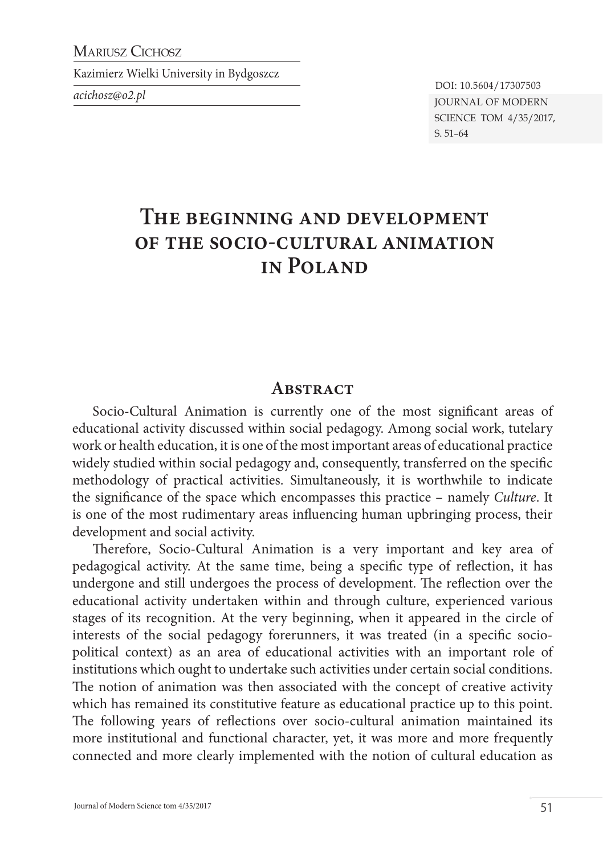MARIUSZ CICHOSZ

Kazimierz Wielki University in Bydgoszcz

*acichosz@o2.pl* Journal of Modern SCIENCE TOM 4/35/2017, s. 51–64 DOI: 10.5604/17307503

# **The beginning and development of the socio-cultural animation in Poland**

#### **Abstract**

Socio-Cultural Animation is currently one of the most significant areas of educational activity discussed within social pedagogy. Among social work, tutelary work or health education, it is one of the most important areas of educational practice widely studied within social pedagogy and, consequently, transferred on the specific methodology of practical activities. Simultaneously, it is worthwhile to indicate the significance of the space which encompasses this practice – namely *Culture*. It is one of the most rudimentary areas influencing human upbringing process, their development and social activity.

Therefore, Socio-Cultural Animation is a very important and key area of pedagogical activity. At the same time, being a specific type of reflection, it has undergone and still undergoes the process of development. The reflection over the educational activity undertaken within and through culture, experienced various stages of its recognition. At the very beginning, when it appeared in the circle of interests of the social pedagogy forerunners, it was treated (in a specific sociopolitical context) as an area of educational activities with an important role of institutions which ought to undertake such activities under certain social conditions. The notion of animation was then associated with the concept of creative activity which has remained its constitutive feature as educational practice up to this point. The following years of reflections over socio-cultural animation maintained its more institutional and functional character, yet, it was more and more frequently connected and more clearly implemented with the notion of cultural education as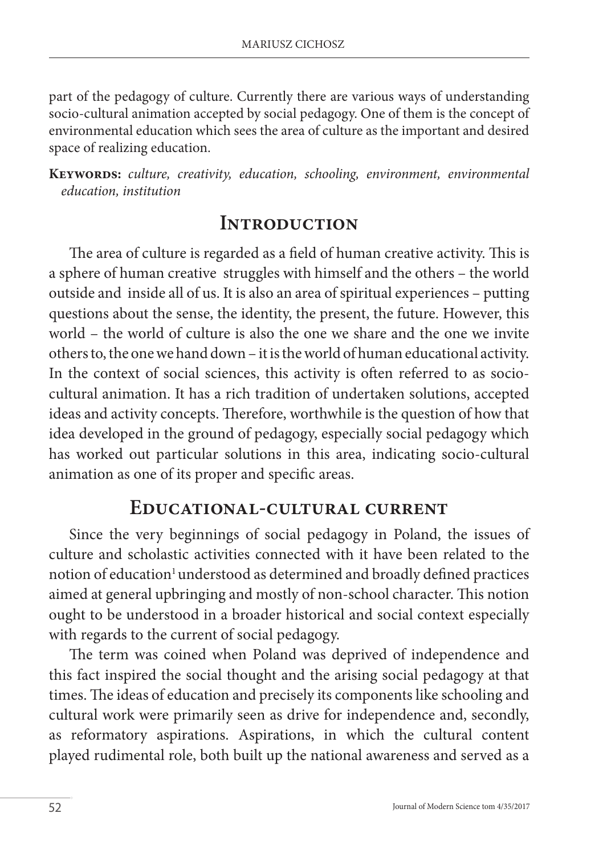part of the pedagogy of culture. Currently there are various ways of understanding socio-cultural animation accepted by social pedagogy. One of them is the concept of environmental education which sees the area of culture as the important and desired space of realizing education.

**Keywords:** *culture, creativity, education, schooling, environment, environmental education, institution* 

# **Introduction**

The area of culture is regarded as a field of human creative activity. This is a sphere of human creative struggles with himself and the others – the world outside and inside all of us. It is also an area of spiritual experiences – putting questions about the sense, the identity, the present, the future. However, this world – the world of culture is also the one we share and the one we invite others to, the one we hand down – it is the world of human educational activity. In the context of social sciences, this activity is often referred to as sociocultural animation. It has a rich tradition of undertaken solutions, accepted ideas and activity concepts. Therefore, worthwhile is the question of how that idea developed in the ground of pedagogy, especially social pedagogy which has worked out particular solutions in this area, indicating socio-cultural animation as one of its proper and specific areas.

#### **Educational-cultural current**

Since the very beginnings of social pedagogy in Poland, the issues of culture and scholastic activities connected with it have been related to the notion of education<sup>1</sup> understood as determined and broadly defined practices aimed at general upbringing and mostly of non-school character. This notion ought to be understood in a broader historical and social context especially with regards to the current of social pedagogy.

The term was coined when Poland was deprived of independence and this fact inspired the social thought and the arising social pedagogy at that times. The ideas of education and precisely its components like schooling and cultural work were primarily seen as drive for independence and, secondly, as reformatory aspirations. Aspirations, in which the cultural content played rudimental role, both built up the national awareness and served as a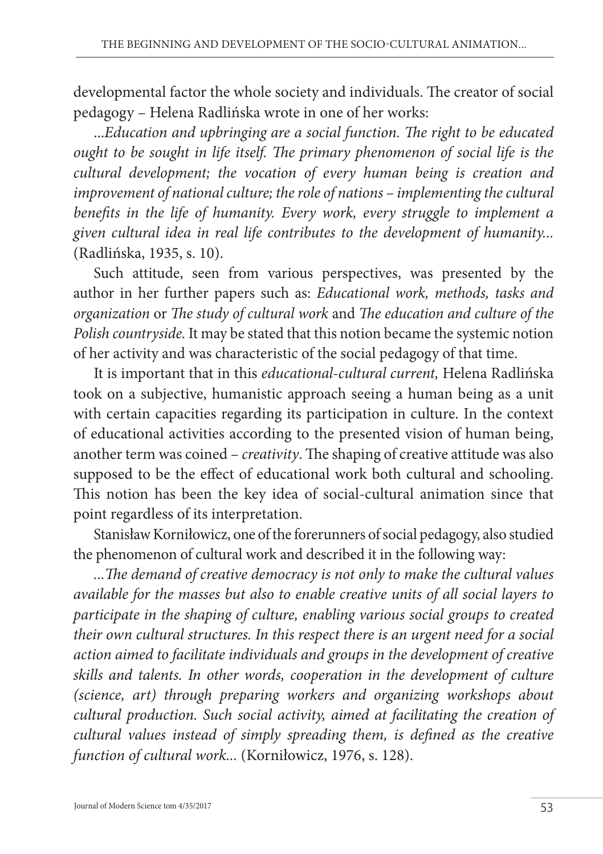developmental factor the whole society and individuals. The creator of social pedagogy – Helena Radlińska wrote in one of her works:

...*Education and upbringing are a social function. The right to be educated ought to be sought in life itself. The primary phenomenon of social life is the cultural development; the vocation of every human being is creation and improvement of national culture; the role of nations – implementing the cultural benefits in the life of humanity. Every work, every struggle to implement a given cultural idea in real life contributes to the development of humanity...*  (Radlińska, 1935, s. 10).

Such attitude, seen from various perspectives, was presented by the author in her further papers such as: *Educational work, methods, tasks and organization* or *The study of cultural work* and *The education and culture of the Polish countryside.* It may be stated that this notion became the systemic notion of her activity and was characteristic of the social pedagogy of that time.

It is important that in this *educational-cultural current,* Helena Radlińska took on a subjective, humanistic approach seeing a human being as a unit with certain capacities regarding its participation in culture. In the context of educational activities according to the presented vision of human being, another term was coined – *creativity*. The shaping of creative attitude was also supposed to be the effect of educational work both cultural and schooling. This notion has been the key idea of social-cultural animation since that point regardless of its interpretation.

Stanisław Korniłowicz, one of the forerunners of social pedagogy, also studied the phenomenon of cultural work and described it in the following way:

*...The demand of creative democracy is not only to make the cultural values available for the masses but also to enable creative units of all social layers to participate in the shaping of culture, enabling various social groups to created their own cultural structures. In this respect there is an urgent need for a social action aimed to facilitate individuals and groups in the development of creative skills and talents. In other words, cooperation in the development of culture (science, art) through preparing workers and organizing workshops about cultural production. Such social activity, aimed at facilitating the creation of cultural values instead of simply spreading them, is defined as the creative function of cultural work...* (Korniłowicz, 1976, s. 128).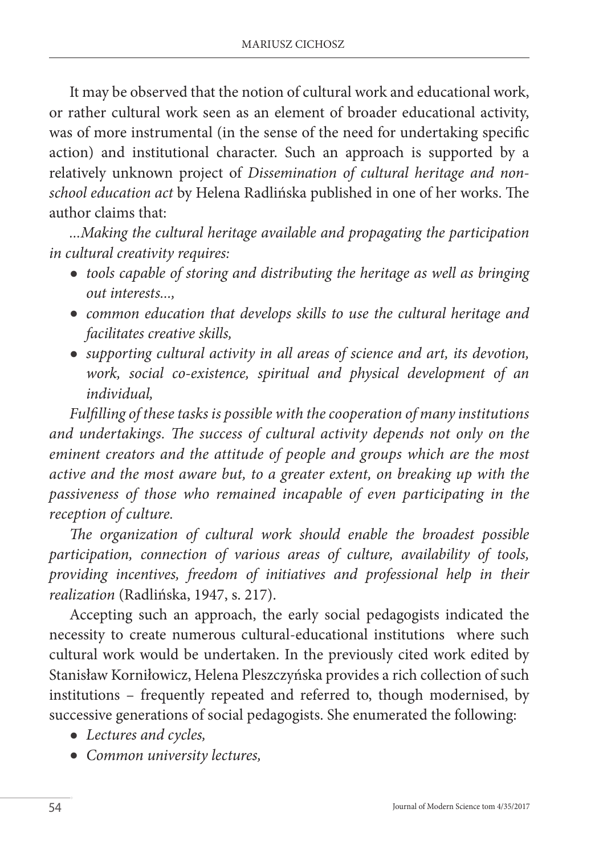It may be observed that the notion of cultural work and educational work, or rather cultural work seen as an element of broader educational activity, was of more instrumental (in the sense of the need for undertaking specific action) and institutional character. Such an approach is supported by a relatively unknown project of *Dissemination of cultural heritage and nonschool education act* by Helena Radlińska published in one of her works. The author claims that:

*...Making the cultural heritage available and propagating the participation in cultural creativity requires:*

- *tools capable of storing and distributing the heritage as well as bringing out interests...,*
- *common education that develops skills to use the cultural heritage and facilitates creative skills,*
- *supporting cultural activity in all areas of science and art, its devotion, work, social co-existence, spiritual and physical development of an individual,*

*Fulfilling of these tasks is possible with the cooperation of many institutions and undertakings. The success of cultural activity depends not only on the eminent creators and the attitude of people and groups which are the most active and the most aware but, to a greater extent, on breaking up with the passiveness of those who remained incapable of even participating in the reception of culture.* 

*The organization of cultural work should enable the broadest possible participation, connection of various areas of culture, availability of tools, providing incentives, freedom of initiatives and professional help in their realization* (Radlińska, 1947, s. 217).

Accepting such an approach, the early social pedagogists indicated the necessity to create numerous cultural-educational institutions where such cultural work would be undertaken. In the previously cited work edited by Stanisław Korniłowicz, Helena Pleszczyńska provides a rich collection of such institutions – frequently repeated and referred to, though modernised, by successive generations of social pedagogists. She enumerated the following:

- *Lectures and cycles,*
- *Common university lectures,*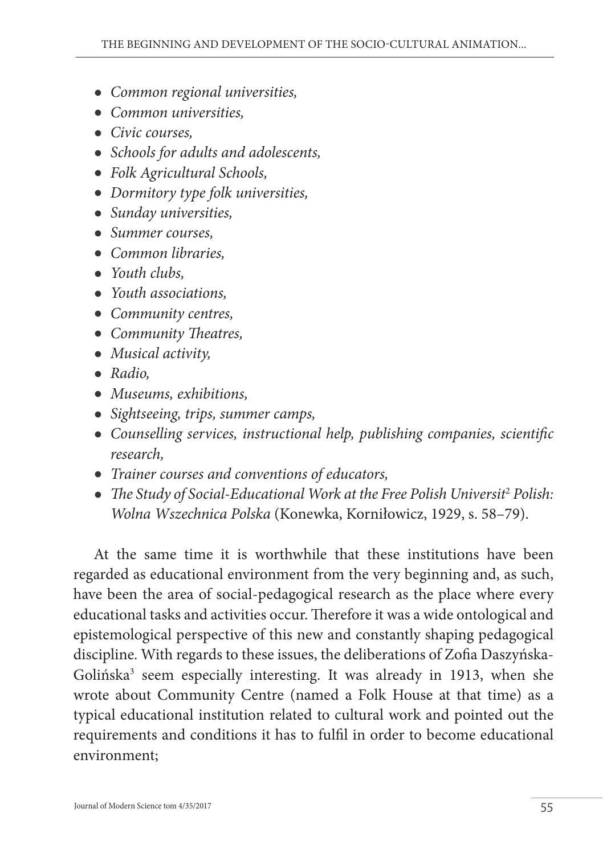- *Common regional universities,*
- *Common universities,*
- *Civic courses,*
- *Schools for adults and adolescents,*
- *Folk Agricultural Schools,*
- *Dormitory type folk universities,*
- *Sunday universities,*
- *Summer courses,*
- *Common libraries,*
- *Youth clubs,*
- *Youth associations,*
- *Community centres,*
- *Community Theatres,*
- *Musical activity,*
- *Radio,*
- *Museums, exhibitions,*
- *Sightseeing, trips, summer camps,*
- *Counselling services, instructional help, publishing companies, scientific research,*
- *Trainer courses and conventions of educators,*
- The Study of Social-Educational Work at the Free Polish Universit<sup>2</sup> Polish: *Wolna Wszechnica Polska* (Konewka, Korniłowicz, 1929, s. 58–79).

At the same time it is worthwhile that these institutions have been regarded as educational environment from the very beginning and, as such, have been the area of social-pedagogical research as the place where every educational tasks and activities occur. Therefore it was a wide ontological and epistemological perspective of this new and constantly shaping pedagogical discipline. With regards to these issues, the deliberations of Zofia Daszyńska-Golińska<sup>3</sup> seem especially interesting. It was already in 1913, when she wrote about Community Centre (named a Folk House at that time) as a typical educational institution related to cultural work and pointed out the requirements and conditions it has to fulfil in order to become educational environment;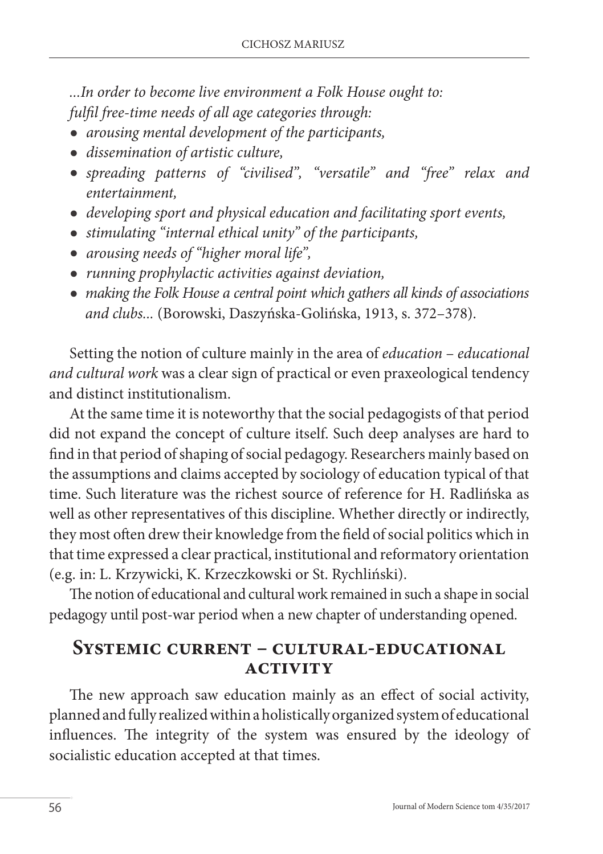*...In order to become live environment a Folk House ought to: fulfil free-time needs of all age categories through:* 

- *arousing mental development of the participants,*
- *dissemination of artistic culture,*
- *spreading patterns of "civilised", "versatile" and "free" relax and entertainment,*
- *developing sport and physical education and facilitating sport events,*
- *stimulating "internal ethical unity" of the participants,*
- *arousing needs of "higher moral life",*
- *running prophylactic activities against deviation,*
- *making the Folk House a central point which gathers all kinds of associations and clubs...* (Borowski, Daszyńska-Golińska, 1913, s. 372–378).

Setting the notion of culture mainly in the area of *education* – *educational and cultural work* was a clear sign of practical or even praxeological tendency and distinct institutionalism.

At the same time it is noteworthy that the social pedagogists of that period did not expand the concept of culture itself. Such deep analyses are hard to find in that period of shaping of social pedagogy. Researchers mainly based on the assumptions and claims accepted by sociology of education typical of that time. Such literature was the richest source of reference for H. Radlińska as well as other representatives of this discipline. Whether directly or indirectly, they most often drew their knowledge from the field of social politics which in that time expressed a clear practical, institutional and reformatory orientation (e.g. in: L. Krzywicki, K. Krzeczkowski or St. Rychliński).

The notion of educational and cultural work remained in such a shape in social pedagogy until post-war period when a new chapter of understanding opened.

### **Systemic current – cultural-educational activity**

The new approach saw education mainly as an effect of social activity, planned and fully realized within a holistically organized system of educational influences. The integrity of the system was ensured by the ideology of socialistic education accepted at that times.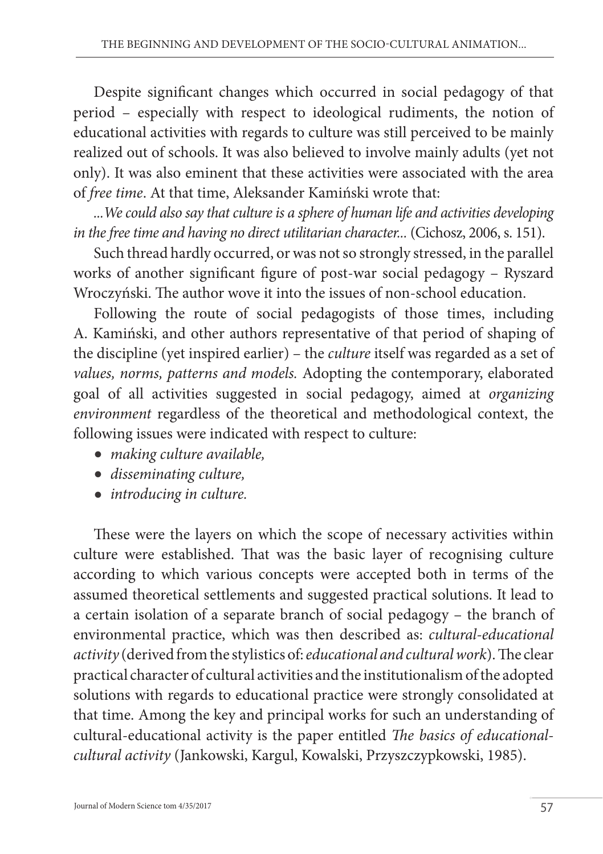Despite significant changes which occurred in social pedagogy of that period – especially with respect to ideological rudiments, the notion of educational activities with regards to culture was still perceived to be mainly realized out of schools. It was also believed to involve mainly adults (yet not only). It was also eminent that these activities were associated with the area of *free time*. At that time, Aleksander Kamiński wrote that:

*...We could also say that culture is a sphere of human life and activities developing in the free time and having no direct utilitarian character...* (Cichosz, 2006, s. 151).

Such thread hardly occurred, or was not so strongly stressed, in the parallel works of another significant figure of post-war social pedagogy – Ryszard Wroczyński. The author wove it into the issues of non-school education.

Following the route of social pedagogists of those times, including A. Kamiński, and other authors representative of that period of shaping of the discipline (yet inspired earlier) – the *culture* itself was regarded as a set of *values, norms, patterns and models.* Adopting the contemporary, elaborated goal of all activities suggested in social pedagogy, aimed at *organizing environment* regardless of the theoretical and methodological context, the following issues were indicated with respect to culture:

- *making culture available,*
- *disseminating culture,*
- *introducing in culture.*

These were the layers on which the scope of necessary activities within culture were established. That was the basic layer of recognising culture according to which various concepts were accepted both in terms of the assumed theoretical settlements and suggested practical solutions. It lead to a certain isolation of a separate branch of social pedagogy – the branch of environmental practice, which was then described as: *cultural-educational activity* (derived from the stylistics of: *educational and cultural work*). The clear practical character of cultural activities and the institutionalism of the adopted solutions with regards to educational practice were strongly consolidated at that time. Among the key and principal works for such an understanding of cultural-educational activity is the paper entitled *The basics of educationalcultural activity* (Jankowski, Kargul, Kowalski, Przyszczypkowski, 1985).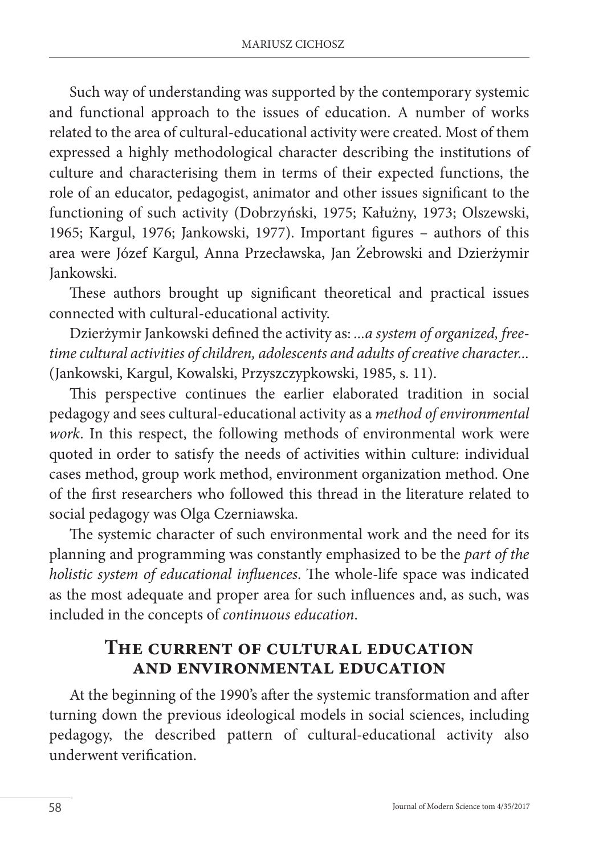Such way of understanding was supported by the contemporary systemic and functional approach to the issues of education. A number of works related to the area of cultural-educational activity were created. Most of them expressed a highly methodological character describing the institutions of culture and characterising them in terms of their expected functions, the role of an educator, pedagogist, animator and other issues significant to the functioning of such activity (Dobrzyński, 1975; Kałużny, 1973; Olszewski, 1965; Kargul, 1976; Jankowski, 1977). Important figures – authors of this area were Józef Kargul, Anna Przecławska, Jan Żebrowski and Dzierżymir Jankowski.

These authors brought up significant theoretical and practical issues connected with cultural-educational activity.

Dzierżymir Jankowski defined the activity as: *...a system of organized, freetime cultural activities of children, adolescents and adults of creative character...*  (Jankowski, Kargul, Kowalski, Przyszczypkowski, 1985, s. 11).

This perspective continues the earlier elaborated tradition in social pedagogy and sees cultural-educational activity as a *method of environmental work*. In this respect, the following methods of environmental work were quoted in order to satisfy the needs of activities within culture: individual cases method, group work method, environment organization method. One of the first researchers who followed this thread in the literature related to social pedagogy was Olga Czerniawska.

The systemic character of such environmental work and the need for its planning and programming was constantly emphasized to be the *part of the holistic system of educational influences*. The whole-life space was indicated as the most adequate and proper area for such influences and, as such, was included in the concepts of *continuous education*.

# **The current of cultural education and environmental education**

At the beginning of the 1990's after the systemic transformation and after turning down the previous ideological models in social sciences, including pedagogy, the described pattern of cultural-educational activity also underwent verification.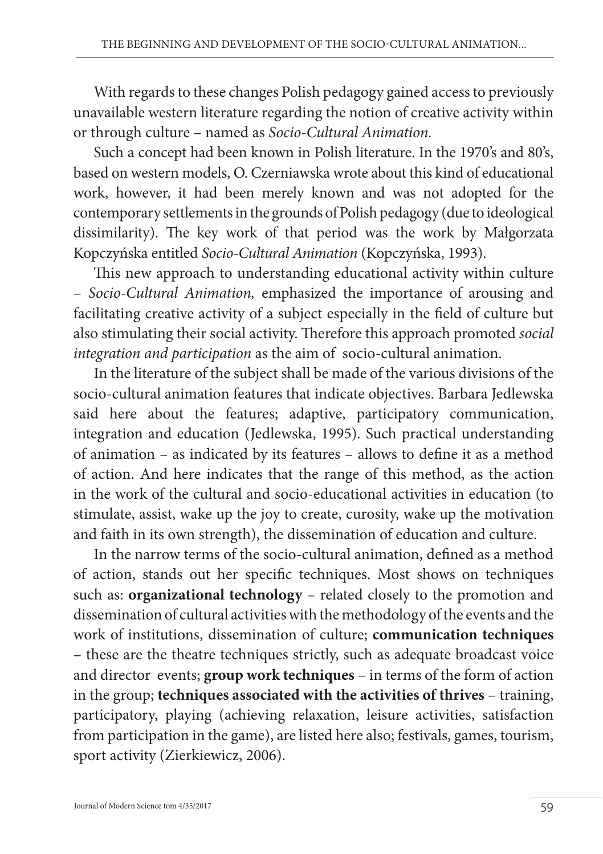With regards to these changes Polish pedagogy gained access to previously unavailable western literature regarding the notion of creative activity within or through culture – named as *Socio-Cultural Animation.*

Such a concept had been known in Polish literature. In the 1970's and 80's, based on western models, O. Czerniawska wrote about this kind of educational work, however, it had been merely known and was not adopted for the contemporary settlements in the grounds of Polish pedagogy (due to ideological dissimilarity). The key work of that period was the work by Małgorzata Kopczyńska entitled *Socio-Cultural Animation* (Kopczyńska, 1993).

This new approach to understanding educational activity within culture – *Socio-Cultural Animation,* emphasized the importance of arousing and facilitating creative activity of a subject especially in the field of culture but also stimulating their social activity. Therefore this approach promoted *social integration and participation* as the aim of socio-cultural animation.

In the literature of the subject shall be made of the various divisions of the socio-cultural animation features that indicate objectives. Barbara Jedlewska said here about the features; adaptive, participatory communication, integration and education (Jedlewska, 1995). Such practical understanding of animation – as indicated by its features – allows to define it as a method of action. And here indicates that the range of this method, as the action in the work of the cultural and socio-educational activities in education (to stimulate, assist, wake up the joy to create, curosity, wake up the motivation and faith in its own strength), the dissemination of education and culture.

In the narrow terms of the socio-cultural animation, defined as a method of action, stands out her specific techniques. Most shows on techniques such as: **organizational technology** – related closely to the promotion and dissemination of cultural activities with the methodology of the events and the work of institutions, dissemination of culture; **communication techniques**  – these are the theatre techniques strictly, such as adequate broadcast voice and director events; **group work techniques** – in terms of the form of action in the group; **techniques associated with the activities of thrives** – training, participatory, playing (achieving relaxation, leisure activities, satisfaction from participation in the game), are listed here also; festivals, games, tourism, sport activity (Zierkiewicz, 2006).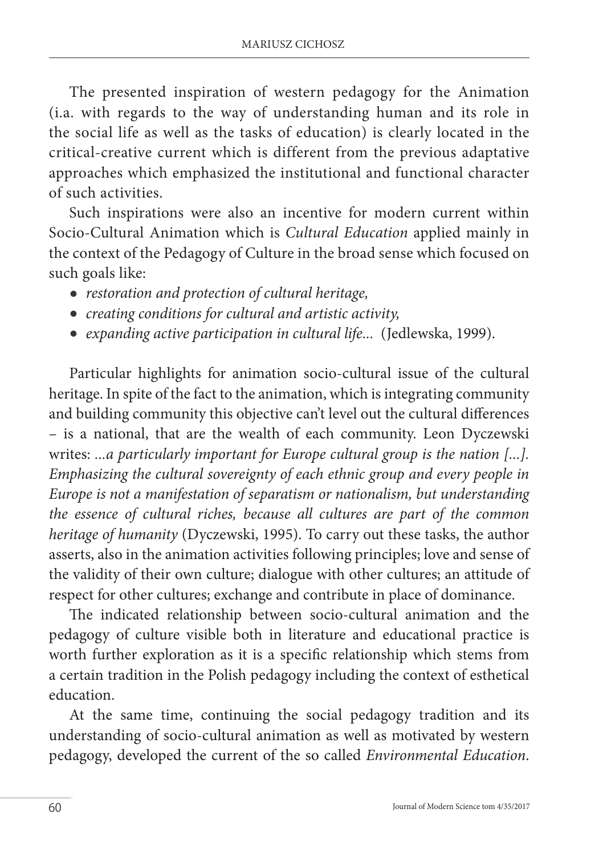The presented inspiration of western pedagogy for the Animation (i.a. with regards to the way of understanding human and its role in the social life as well as the tasks of education) is clearly located in the critical-creative current which is different from the previous adaptative approaches which emphasized the institutional and functional character of such activities.

Such inspirations were also an incentive for modern current within Socio-Cultural Animation which is *Cultural Education* applied mainly in the context of the Pedagogy of Culture in the broad sense which focused on such goals like:

- *restoration and protection of cultural heritage,*
- *creating conditions for cultural and artistic activity,*
- *expanding active participation in cultural life...* (Jedlewska, 1999).

Particular highlights for animation socio-cultural issue of the cultural heritage. In spite of the fact to the animation, which is integrating community and building community this objective can't level out the cultural differences – is a national, that are the wealth of each community. Leon Dyczewski writes: *...a particularly important for Europe cultural group is the nation [...]. Emphasizing the cultural sovereignty of each ethnic group and every people in Europe is not a manifestation of separatism or nationalism, but understanding the essence of cultural riches, because all cultures are part of the common heritage of humanity* (Dyczewski, 1995). To carry out these tasks, the author asserts, also in the animation activities following principles; love and sense of the validity of their own culture; dialogue with other cultures; an attitude of respect for other cultures; exchange and contribute in place of dominance.

The indicated relationship between socio-cultural animation and the pedagogy of culture visible both in literature and educational practice is worth further exploration as it is a specific relationship which stems from a certain tradition in the Polish pedagogy including the context of esthetical education.

At the same time, continuing the social pedagogy tradition and its understanding of socio-cultural animation as well as motivated by western pedagogy, developed the current of the so called *Environmental Education*.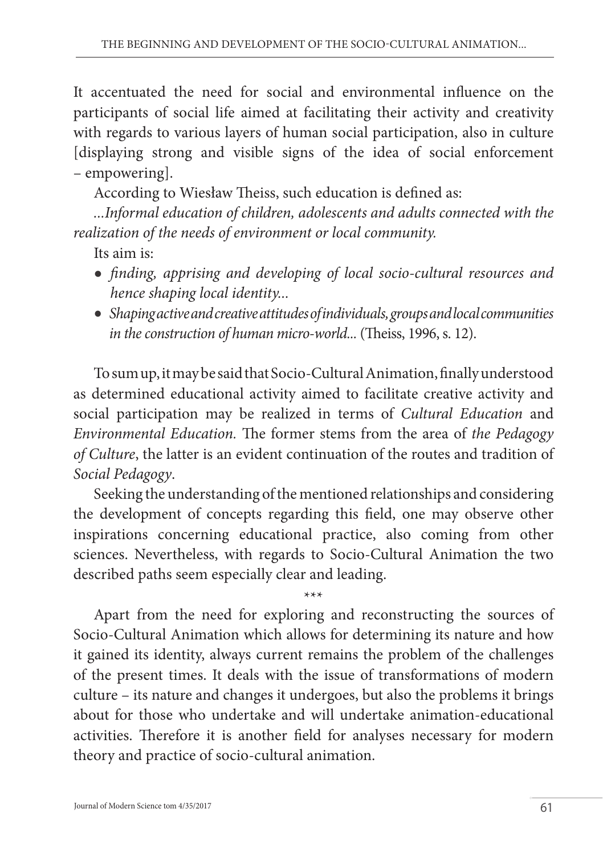It accentuated the need for social and environmental influence on the participants of social life aimed at facilitating their activity and creativity with regards to various layers of human social participation, also in culture [displaying strong and visible signs of the idea of social enforcement – empowering].

According to Wiesław Theiss, such education is defined as:

*...Informal education of children, adolescents and adults connected with the realization of the needs of environment or local community.* 

Its aim is:

- *finding, apprising and developing of local socio-cultural resources and hence shaping local identity...*
- *Shaping active and creative attitudes of individuals, groups and local communities in the construction of human micro-world...* (Theiss, 1996, s. 12).

To sum up, it may be said that Socio-Cultural Animation, finally understood as determined educational activity aimed to facilitate creative activity and social participation may be realized in terms of *Cultural Education* and *Environmental Education.* The former stems from the area of *the Pedagogy of Culture*, the latter is an evident continuation of the routes and tradition of *Social Pedagogy*.

Seeking the understanding of the mentioned relationships and considering the development of concepts regarding this field, one may observe other inspirations concerning educational practice, also coming from other sciences. Nevertheless, with regards to Socio-Cultural Animation the two described paths seem especially clear and leading.

\*\*\* Apart from the need for exploring and reconstructing the sources of Socio-Cultural Animation which allows for determining its nature and how it gained its identity, always current remains the problem of the challenges of the present times. It deals with the issue of transformations of modern culture – its nature and changes it undergoes, but also the problems it brings about for those who undertake and will undertake animation-educational activities. Therefore it is another field for analyses necessary for modern theory and practice of socio-cultural animation.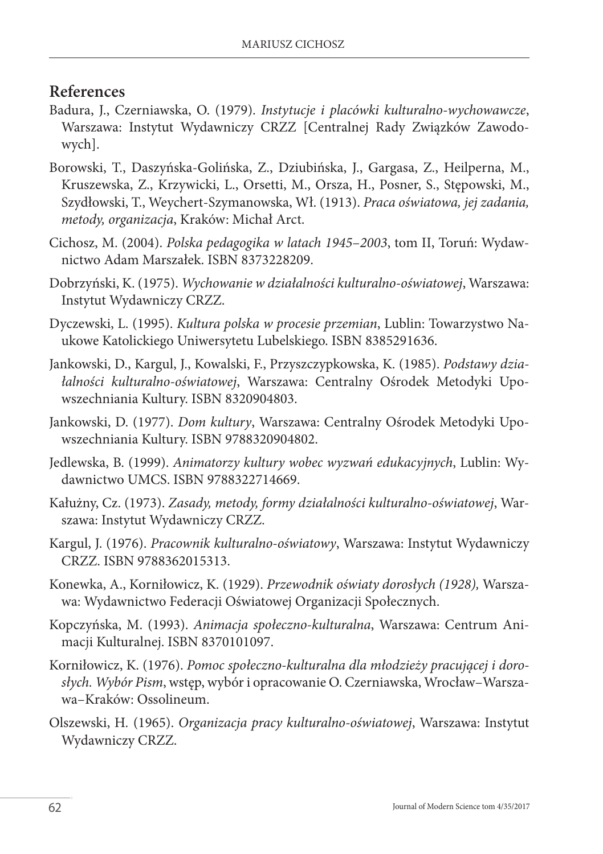#### **References**

- Badura, J., Czerniawska, O. (1979). *Instytucje i placówki kulturalno-wychowawcze*, Warszawa: Instytut Wydawniczy CRZZ [Centralnej Rady Związków Zawodowych].
- Borowski, T., Daszyńska-Golińska, Z., Dziubińska, J., Gargasa, Z., Heilperna, M., Kruszewska, Z., Krzywicki, L., Orsetti, M., Orsza, H., Posner, S., Stępowski, M., Szydłowski, T., Weychert-Szymanowska, Wł. (1913). *Praca oświatowa, jej zadania, metody, organizacja*, Kraków: Michał Arct.
- Cichosz, M. (2004). *Polska pedagogika w latach 1945*–*2003*, tom II, Toruń: Wydawnictwo Adam Marszałek. ISBN 8373228209.
- Dobrzyński, K. (1975). *Wychowanie w działalności kulturalno-oświatowej*, Warszawa: Instytut Wydawniczy CRZZ.
- Dyczewski, L. (1995). *Kultura polska w procesie przemian*, Lublin: Towarzystwo Naukowe Katolickiego Uniwersytetu Lubelskiego. ISBN 8385291636.
- Jankowski, D., Kargul, J., Kowalski, F., Przyszczypkowska, K. (1985). *Podstawy działalności kulturalno-oświatowej*, Warszawa: Centralny Ośrodek Metodyki Upowszechniania Kultury. ISBN 8320904803.
- Jankowski, D. (1977). *Dom kultury*, Warszawa: Centralny Ośrodek Metodyki Upowszechniania Kultury. ISBN 9788320904802.
- Jedlewska, B. (1999). *Animatorzy kultury wobec wyzwań edukacyjnych*, Lublin: Wydawnictwo UMCS. ISBN 9788322714669.
- Kałużny, Cz. (1973). *Zasady, metody, formy działalności kulturalno-oświatowej*, Warszawa: Instytut Wydawniczy CRZZ.
- Kargul, J. (1976). *Pracownik kulturalno-oświatowy*, Warszawa: Instytut Wydawniczy CRZZ. ISBN 9788362015313.
- Konewka, A., Korniłowicz, K. (1929). *Przewodnik oświaty dorosłych (1928),* Warszawa: Wydawnictwo Federacji Oświatowej Organizacji Społecznych.
- Kopczyńska, M. (1993). *Animacja społeczno-kulturalna*, Warszawa: Centrum Animacji Kulturalnej. ISBN 8370101097.
- Korniłowicz, K. (1976). *Pomoc społeczno-kulturalna dla młodzieży pracującej i dorosłych. Wybór Pism*, wstęp, wybór i opracowanie O. Czerniawska, Wrocław–Warszawa–Kraków: Ossolineum.
- Olszewski, H*.* (1965). *Organizacja pracy kulturalno-oświatowej*, Warszawa: Instytut Wydawniczy CRZZ.